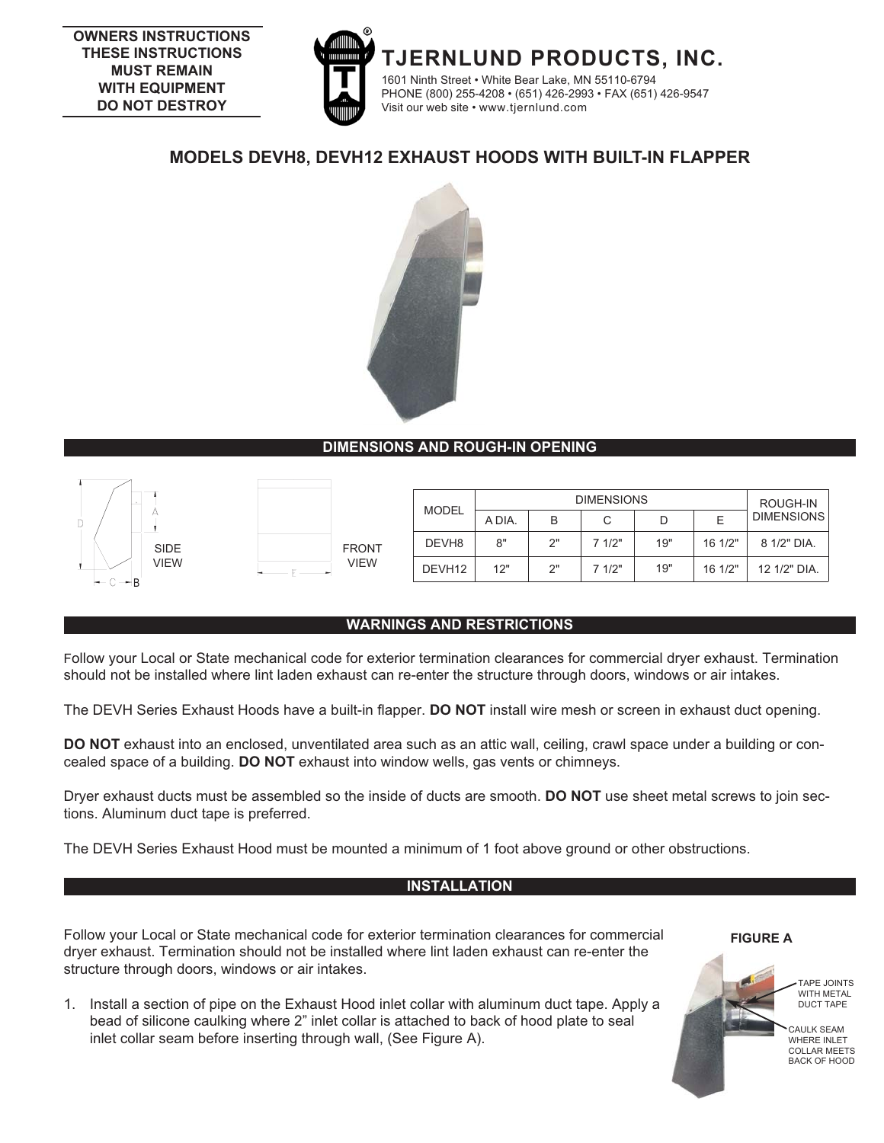

# **MODELS DEVH8, DEVH12 EXHAUST HOODS WITH BUILT-IN FLAPPER**



# **DIMENSIONS AND ROUGH-IN OPENING**



| <b>FRONT</b><br><b>VIEW</b> |
|-----------------------------|

|                     |              |      | <b>MODEL</b>       | <b>DIMENSIONS</b> |    |        |     | ROUGH-IN |                   |
|---------------------|--------------|------|--------------------|-------------------|----|--------|-----|----------|-------------------|
|                     |              |      |                    | A DIA.            | B  | С      |     |          | <b>DIMENSIONS</b> |
| <b>SIDE</b><br>VIEW | <b>FRONT</b> |      | DEVH <sub>8</sub>  | 8"                | つ" | 71/2"  | 19" | 16 1/2"  | 8 1/2" DIA.       |
|                     |              | VIEW | DEVH <sub>12</sub> | 12"               | 2" | 7 1/2" | 19" | 16 1/2"  | 12 1/2" DIA.      |

# **WARNINGS AND RESTRICTIONS**

Follow your Local or State mechanical code for exterior termination clearances for commercial dryer exhaust. Termination should not be installed where lint laden exhaust can re-enter the structure through doors, windows or air intakes.

The DEVH Series Exhaust Hoods have a built-in flapper. **DO NOT** install wire mesh or screen in exhaust duct opening.

**DO NOT** exhaust into an enclosed, unventilated area such as an attic wall, ceiling, crawl space under a building or concealed space of a building. **DO NOT** exhaust into window wells, gas vents or chimneys.

Dryer exhaust ducts must be assembled so the inside of ducts are smooth. **DO NOT** use sheet metal screws to join sections. Aluminum duct tape is preferred.

The DEVH Series Exhaust Hood must be mounted a minimum of 1 foot above ground or other obstructions.

### **INSTALLATION**

Follow your Local or State mechanical code for exterior termination clearances for commercial dryer exhaust. Termination should not be installed where lint laden exhaust can re-enter the structure through doors, windows or air intakes.

1. Install a section of pipe on the Exhaust Hood inlet collar with aluminum duct tape. Apply a bead of silicone caulking where 2" inlet collar is attached to back of hood plate to seal inlet collar seam before inserting through wall, (See Figure A).

**FIGURE A**